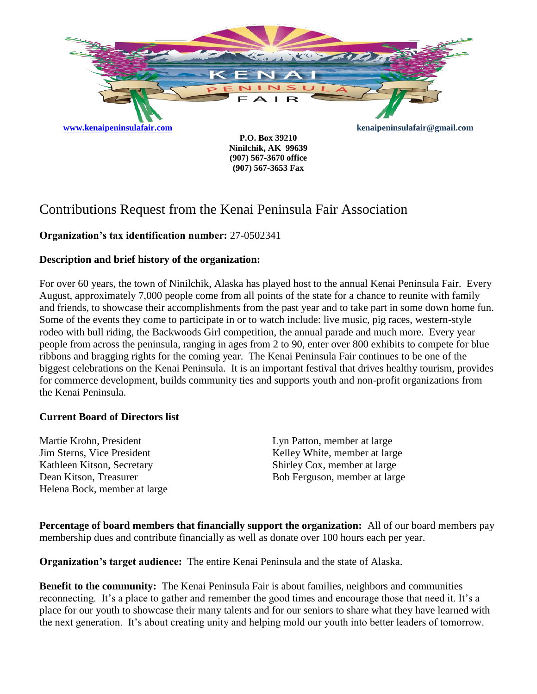

**Ninilchik, AK 99639 (907) 567-3670 office (907) 567-3653 Fax**

# Contributions Request from the Kenai Peninsula Fair Association

# **Organization's tax identification number:** 27-0502341

# **Description and brief history of the organization:**

For over 60 years, the town of Ninilchik, Alaska has played host to the annual Kenai Peninsula Fair. Every August, approximately 7,000 people come from all points of the state for a chance to reunite with family and friends, to showcase their accomplishments from the past year and to take part in some down home fun. Some of the events they come to participate in or to watch include: live music, pig races, western-style rodeo with bull riding, the Backwoods Girl competition, the annual parade and much more. Every year people from across the peninsula, ranging in ages from 2 to 90, enter over 800 exhibits to compete for blue ribbons and bragging rights for the coming year. The Kenai Peninsula Fair continues to be one of the biggest celebrations on the Kenai Peninsula. It is an important festival that drives healthy tourism, provides for commerce development, builds community ties and supports youth and non-profit organizations from the Kenai Peninsula.

## **Current Board of Directors list**

Martie Krohn, President Jim Sterns, Vice President Kathleen Kitson, Secretary Dean Kitson, Treasurer Helena Bock, member at large Lyn Patton, member at large Kelley White, member at large Shirley Cox, member at large Bob Ferguson, member at large

**Percentage of board members that financially support the organization:** All of our board members pay membership dues and contribute financially as well as donate over 100 hours each per year.

**Organization's target audience:** The entire Kenai Peninsula and the state of Alaska.

**Benefit to the community:** The Kenai Peninsula Fair is about families, neighbors and communities reconnecting. It's a place to gather and remember the good times and encourage those that need it. It's a place for our youth to showcase their many talents and for our seniors to share what they have learned with the next generation. It's about creating unity and helping mold our youth into better leaders of tomorrow.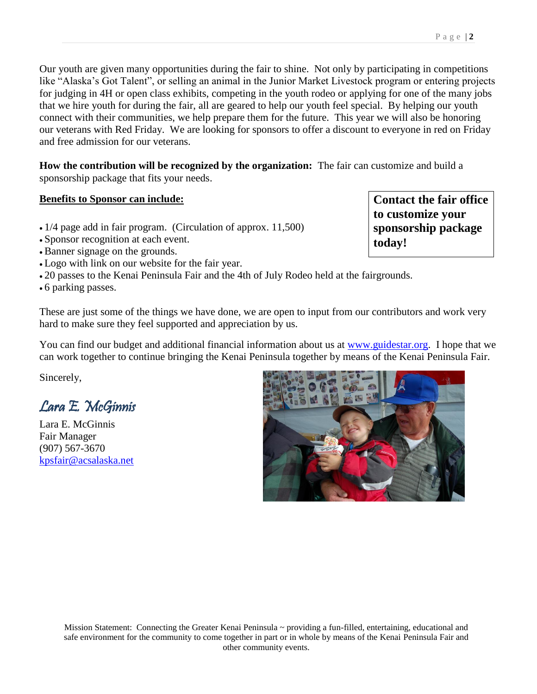Our youth are given many opportunities during the fair to shine. Not only by participating in competitions like "Alaska's Got Talent", or selling an animal in the Junior Market Livestock program or entering projects for judging in 4H or open class exhibits, competing in the youth rodeo or applying for one of the many jobs that we hire youth for during the fair, all are geared to help our youth feel special. By helping our youth connect with their communities, we help prepare them for the future. This year we will also be honoring our veterans with Red Friday. We are looking for sponsors to offer a discount to everyone in red on Friday and free admission for our veterans.

**How the contribution will be recognized by the organization:** The fair can customize and build a sponsorship package that fits your needs.

## **Benefits to Sponsor can include:**

- 1/4 page add in fair program. (Circulation of approx. 11,500)
- Sponsor recognition at each event.
- Banner signage on the grounds.
- Logo with link on our website for the fair year.
- 20 passes to the Kenai Peninsula Fair and the 4th of July Rodeo held at the fairgrounds.

6 parking passes.

These are just some of the things we have done, we are open to input from our contributors and work very hard to make sure they feel supported and appreciation by us.

You can find our budget and additional financial information about us at [www.guidestar.org.](http://www.guidestar.org/) I hope that we can work together to continue bringing the Kenai Peninsula together by means of the Kenai Peninsula Fair.

Sincerely,

Lara E. McGinnis

Lara E. McGinnis Fair Manager (907) 567-3670 [kpsfair@acsalaska.net](mailto:kpsfair@acsalaska.net)



**Contact the fair office to customize your sponsorship package today!**